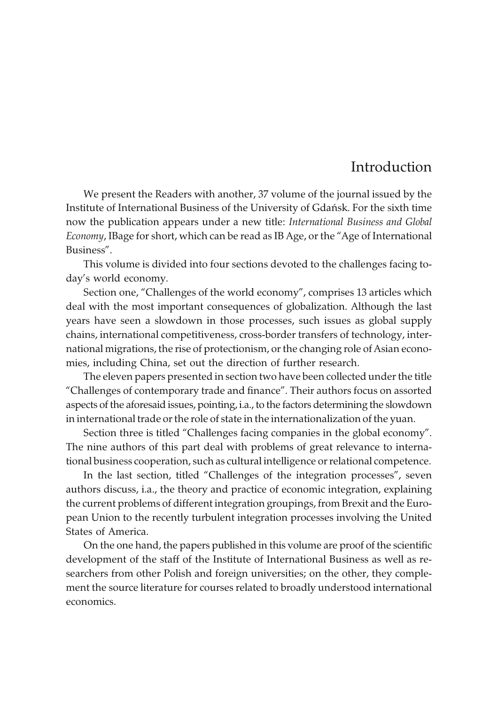## Introduction

We present the Readers with another, 37 volume of the journal issued by the Institute of International Business of the University of Gdañsk. For the sixth time now the publication appears under a new title: *International Business and Global Economy*, IBage for short, which can be read as IB Age, or the "Age of International Business".

This volume is divided into four sections devoted to the challenges facing today's world economy.

Section one, "Challenges of the world economy", comprises 13 articles which deal with the most important consequences of globalization. Although the last years have seen a slowdown in those processes, such issues as global supply chains, international competitiveness, cross-border transfers of technology, international migrations, the rise of protectionism, or the changing role of Asian economies, including China, set out the direction of further research.

The eleven papers presented in section two have been collected under the title "Challenges of contemporary trade and finance". Their authors focus on assorted aspects of the aforesaid issues, pointing, i.a., to the factors determining the slowdown in international trade or the role of state in the internationalization of the yuan.

Section three is titled "Challenges facing companies in the global economy". The nine authors of this part deal with problems of great relevance to international business cooperation, such as cultural intelligence or relational competence.

In the last section, titled "Challenges of the integration processes", seven authors discuss, i.a., the theory and practice of economic integration, explaining the current problems of different integration groupings, from Brexit and the European Union to the recently turbulent integration processes involving the United States of America.

On the one hand, the papers published in this volume are proof of the scientific development of the staff of the Institute of International Business as well as researchers from other Polish and foreign universities; on the other, they complement the source literature for courses related to broadly understood international economics.